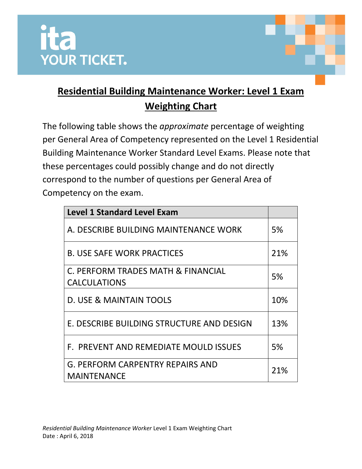



The following table shows the *approximate* percentage of weighting per General Area of Competency represented on the Level 1 Residential Building Maintenance Worker Standard Level Exams. Please note that these percentages could possibly change and do not directly correspond to the number of questions per General Area of Competency on the exam.

| <b>Level 1 Standard Level Exam</b>        |     |
|-------------------------------------------|-----|
| A. DESCRIBE BUILDING MAINTENANCE WORK     | 5%  |
| <b>B. USE SAFE WORK PRACTICES</b>         | 21% |
| C. PERFORM TRADES MATH & FINANCIAL        | 5%  |
| <b>CALCULATIONS</b>                       |     |
| D. USE & MAINTAIN TOOLS                   | 10% |
| E. DESCRIBE BUILDING STRUCTURE AND DESIGN | 13% |
| F. PREVENT AND REMEDIATE MOULD ISSUES     | 5%  |
| G. PERFORM CARPENTRY REPAIRS AND          | 21% |
| <b>MAINTENANCE</b>                        |     |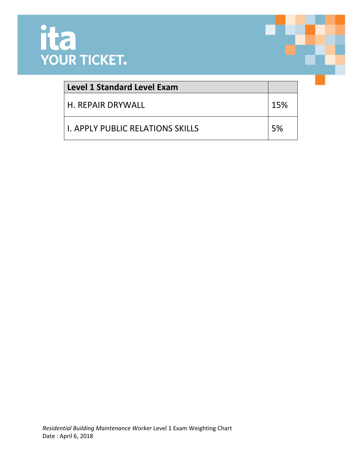

| Level 1 Standard Level Exam      |     |
|----------------------------------|-----|
| H. REPAIR DRYWALL                | 15% |
| LL APPLY PUBLIC RELATIONS SKILLS | 5%  |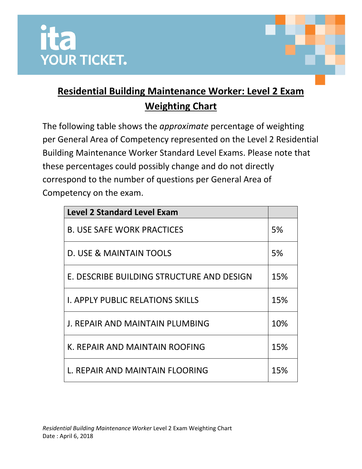



The following table shows the *approximate* percentage of weighting per General Area of Competency represented on the Level 2 Residential Building Maintenance Worker Standard Level Exams. Please note that these percentages could possibly change and do not directly correspond to the number of questions per General Area of Competency on the exam.

| <b>Level 2 Standard Level Exam</b>        |     |
|-------------------------------------------|-----|
| <b>B. USE SAFE WORK PRACTICES</b>         | 5%  |
| D. USE & MAINTAIN TOOLS                   | 5%  |
| E. DESCRIBE BUILDING STRUCTURE AND DESIGN | 15% |
| <b>I. APPLY PUBLIC RELATIONS SKILLS</b>   | 15% |
| J. REPAIR AND MAINTAIN PLUMBING           | 10% |
| K. REPAIR AND MAINTAIN ROOFING            | 15% |
| L. REPAIR AND MAINTAIN FLOORING           | 15% |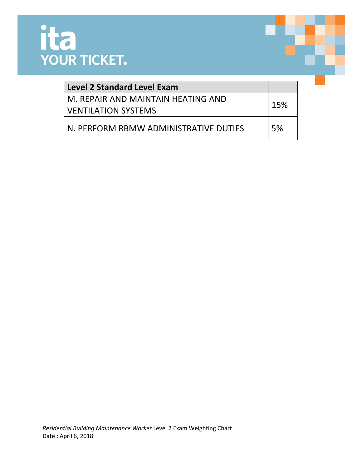

| <b>Level 2 Standard Level Exam</b>    |     |
|---------------------------------------|-----|
| M. REPAIR AND MAINTAIN HEATING AND    | 15% |
| <b>VENTILATION SYSTEMS</b>            |     |
| N. PERFORM RBMW ADMINISTRATIVE DUTIES | 5%  |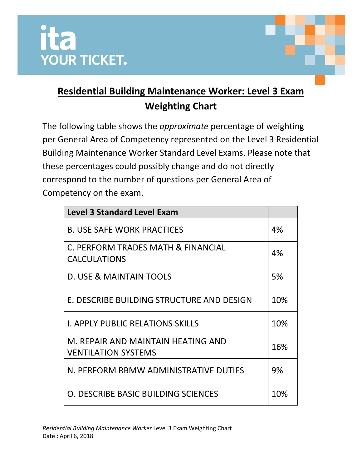



The following table shows the *approximate* percentage of weighting per General Area of Competency represented on the Level 3 Residential Building Maintenance Worker Standard Level Exams. Please note that these percentages could possibly change and do not directly correspond to the number of questions per General Area of Competency on the exam.

| <b>Level 3 Standard Level Exam</b>                               |     |
|------------------------------------------------------------------|-----|
| <b>B. USE SAFE WORK PRACTICES</b>                                | 4%  |
| C. PERFORM TRADES MATH & FINANCIAL<br><b>CALCULATIONS</b>        | 4%  |
| D. USE & MAINTAIN TOOLS                                          | 5%  |
| E. DESCRIBE BUILDING STRUCTURE AND DESIGN                        | 10% |
| <b>I. APPLY PUBLIC RELATIONS SKILLS</b>                          | 10% |
| M. REPAIR AND MAINTAIN HEATING AND<br><b>VENTILATION SYSTEMS</b> | 16% |
| N. PERFORM RBMW ADMINISTRATIVE DUTIES                            | 9%  |
| O. DESCRIBE BASIC BUILDING SCIENCES                              | 10% |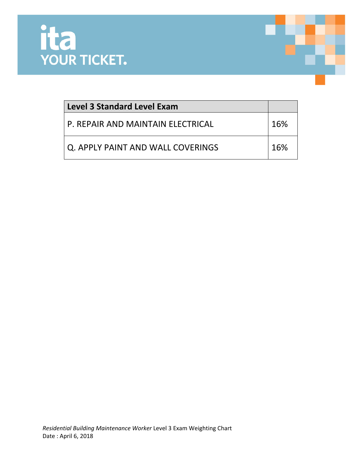

| <b>Level 3 Standard Level Exam</b> |     |
|------------------------------------|-----|
| P. REPAIR AND MAINTAIN ELECTRICAL  | 16% |
| Q. APPLY PAINT AND WALL COVERINGS  | 16% |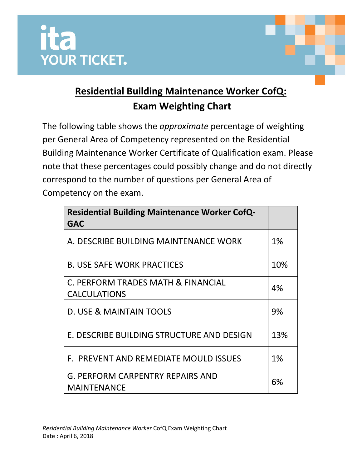



The following table shows the *approximate* percentage of weighting per General Area of Competency represented on the Residential Building Maintenance Worker Certificate of Qualification exam. Please note that these percentages could possibly change and do not directly correspond to the number of questions per General Area of Competency on the exam.

| <b>Residential Building Maintenance Worker CofQ-</b><br><b>GAC</b> |       |
|--------------------------------------------------------------------|-------|
| A. DESCRIBE BUILDING MAINTENANCE WORK                              | $1\%$ |
| <b>B. USE SAFE WORK PRACTICES</b>                                  | 10%   |
| C. PERFORM TRADES MATH & FINANCIAL<br><b>CALCULATIONS</b>          | 4%    |
| D. USE & MAINTAIN TOOLS                                            | 9%    |
| E. DESCRIBE BUILDING STRUCTURE AND DESIGN                          | 13%   |
| F. PREVENT AND REMEDIATE MOULD ISSUES                              | $1\%$ |
| <b>G. PERFORM CARPENTRY REPAIRS AND</b><br><b>MAINTENANCE</b>      | 6%    |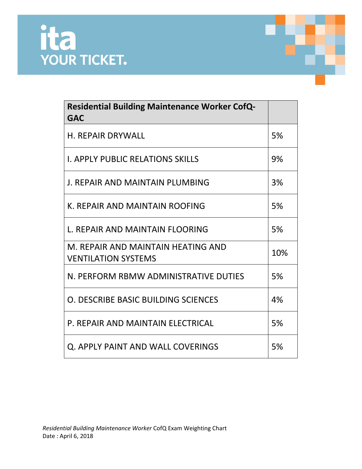

| <b>Residential Building Maintenance Worker CofQ-</b><br><b>GAC</b> |     |
|--------------------------------------------------------------------|-----|
| <b>H. REPAIR DRYWALL</b>                                           | 5%  |
| <b>I. APPLY PUBLIC RELATIONS SKILLS</b>                            | 9%  |
| J. REPAIR AND MAINTAIN PLUMBING                                    | 3%  |
| K. REPAIR AND MAINTAIN ROOFING                                     | 5%  |
| L. REPAIR AND MAINTAIN FLOORING                                    | 5%  |
| M. REPAIR AND MAINTAIN HEATING AND<br><b>VENTILATION SYSTEMS</b>   | 10% |
| N. PERFORM RBMW ADMINISTRATIVE DUTIES                              | 5%  |
| O. DESCRIBE BASIC BUILDING SCIENCES                                | 4%  |
| P. REPAIR AND MAINTAIN ELECTRICAL                                  | 5%  |
| Q. APPLY PAINT AND WALL COVERINGS                                  | 5%  |